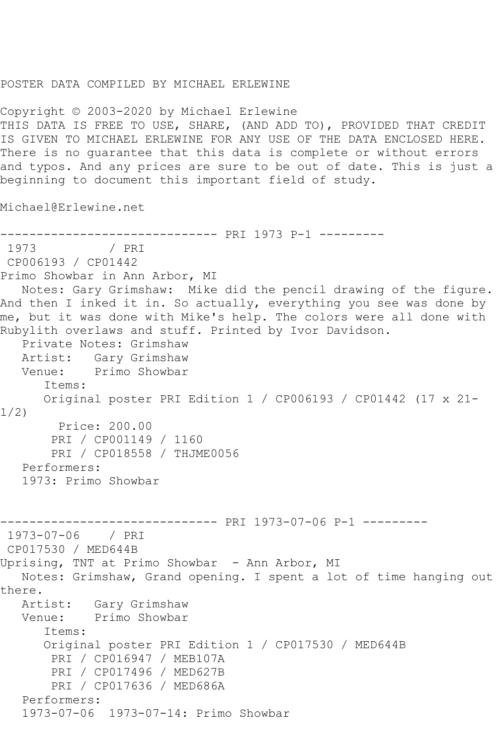## POSTER DATA COMPILED BY MICHAEL ERLEWINE

Copyright © 2003-2020 by Michael Erlewine THIS DATA IS FREE TO USE, SHARE, (AND ADD TO), PROVIDED THAT CREDIT IS GIVEN TO MICHAEL ERLEWINE FOR ANY USE OF THE DATA ENCLOSED HERE. There is no guarantee that this data is complete or without errors and typos. And any prices are sure to be out of date. This is just a beginning to document this important field of study.

Michael@Erlewine.net

```
------------------------------ PRI 1973 P-1 ---------
               / PRI
CP006193 / CP01442
Primo Showbar in Ann Arbor, MI
   Notes: Gary Grimshaw: Mike did the pencil drawing of the figure. 
And then I inked it in. So actually, everything you see was done by 
me, but it was done with Mike's help. The colors were all done with 
Rubylith overlaws and stuff. Printed by Ivor Davidson.
    Private Notes: Grimshaw
   Artist: Gary Grimshaw
   Venue: Primo Showbar
       Items:
       Original poster PRI Edition 1 / CP006193 / CP01442 (17 x 21-
1/2)
        Price: 200.00
        PRI / CP001149 / 1160
        PRI / CP018558 / THJME0056
   Performers:
    1973: Primo Showbar
------------------------------ PRI 1973-07-06 P-1 ---------
1973-07-06 / PRI 
CP017530 / MED644B
Uprising, TNT at Primo Showbar - Ann Arbor, MI
   Notes: Grimshaw, Grand opening. I spent a lot of time hanging out 
there.
  Artist: Gary Grimshaw<br>Venue: Primo Showbar
            Primo Showbar
       Items:
       Original poster PRI Edition 1 / CP017530 / MED644B
        PRI / CP016947 / MEB107A
        PRI / CP017496 / MED627B
        PRI / CP017636 / MED686A
   Performers:
    1973-07-06 1973-07-14: Primo Showbar
```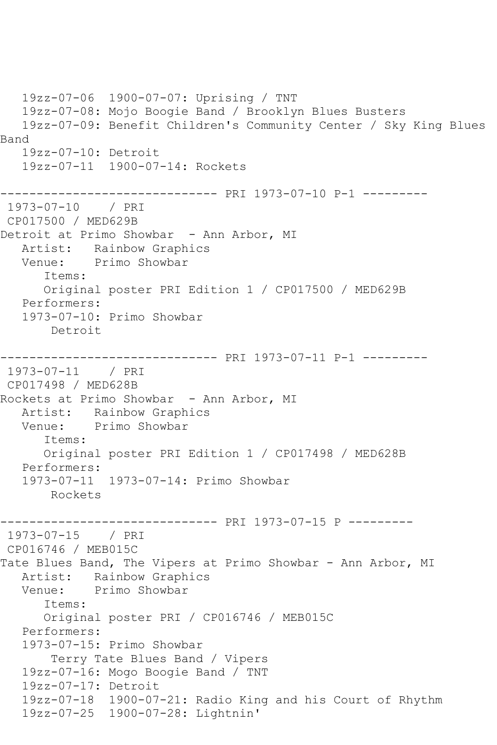19zz-07-06 1900-07-07: Uprising / TNT 19zz-07-08: Mojo Boogie Band / Brooklyn Blues Busters 19zz-07-09: Benefit Children's Community Center / Sky King Blues Band 19zz-07-10: Detroit 19zz-07-11 1900-07-14: Rockets ------------------------------ PRI 1973-07-10 P-1 --------- 1973-07-10 / PRI CP017500 / MED629B Detroit at Primo Showbar - Ann Arbor, MI Artist: Rainbow Graphics Venue: Primo Showbar Items: Original poster PRI Edition 1 / CP017500 / MED629B Performers: 1973-07-10: Primo Showbar Detroit ------------------------------ PRI 1973-07-11 P-1 --------- 1973-07-11 / PRI CP017498 / MED628B Rockets at Primo Showbar - Ann Arbor, MI Artist: Rainbow Graphics<br>Venue: Primo Showbar Primo Showbar Items: Original poster PRI Edition 1 / CP017498 / MED628B Performers: 1973-07-11 1973-07-14: Primo Showbar Rockets ------------------------------ PRI 1973-07-15 P --------- 1973-07-15 / PRI CP016746 / MEB015C Tate Blues Band, The Vipers at Primo Showbar - Ann Arbor, MI Artist: Rainbow Graphics Venue: Primo Showbar Items: Original poster PRI / CP016746 / MEB015C Performers: 1973-07-15: Primo Showbar Terry Tate Blues Band / Vipers 19zz-07-16: Mogo Boogie Band / TNT 19zz-07-17: Detroit 19zz-07-18 1900-07-21: Radio King and his Court of Rhythm 19zz-07-25 1900-07-28: Lightnin'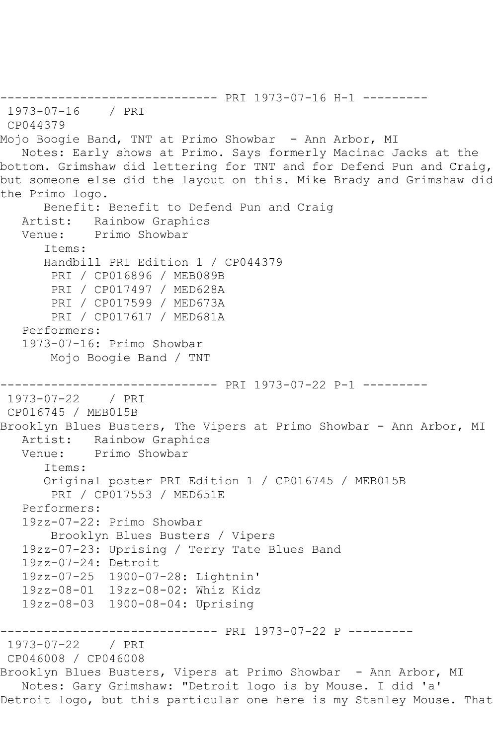```
------------------------------ PRI 1973-07-16 H-1 ---------
1973-07-16 / PRI 
CP044379
Mojo Boogie Band, TNT at Primo Showbar - Ann Arbor, MI
   Notes: Early shows at Primo. Says formerly Macinac Jacks at the 
bottom. Grimshaw did lettering for TNT and for Defend Pun and Craig, 
but someone else did the layout on this. Mike Brady and Grimshaw did 
the Primo logo.
       Benefit: Benefit to Defend Pun and Craig
   Artist: Rainbow Graphics
   Venue: Primo Showbar
       Items:
       Handbill PRI Edition 1 / CP044379
        PRI / CP016896 / MEB089B
        PRI / CP017497 / MED628A
        PRI / CP017599 / MED673A
        PRI / CP017617 / MED681A
    Performers:
    1973-07-16: Primo Showbar
        Mojo Boogie Band / TNT
                  ------------------------------ PRI 1973-07-22 P-1 ---------
1973-07-22 / PRI 
CP016745 / MEB015B
Brooklyn Blues Busters, The Vipers at Primo Showbar - Ann Arbor, MI
   Artist: Rainbow Graphics
   Venue: Primo Showbar
       Items:
       Original poster PRI Edition 1 / CP016745 / MEB015B
        PRI / CP017553 / MED651E
    Performers:
    19zz-07-22: Primo Showbar
        Brooklyn Blues Busters / Vipers
   19zz-07-23: Uprising / Terry Tate Blues Band
   19zz-07-24: Detroit
    19zz-07-25 1900-07-28: Lightnin'
   19zz-08-01 19zz-08-02: Whiz Kidz
   19zz-08-03 1900-08-04: Uprising
                    ------------------------------ PRI 1973-07-22 P ---------
1973-07-22 / PRI 
CP046008 / CP046008
Brooklyn Blues Busters, Vipers at Primo Showbar - Ann Arbor, MI
   Notes: Gary Grimshaw: "Detroit logo is by Mouse. I did 'a' 
Detroit logo, but this particular one here is my Stanley Mouse. That
```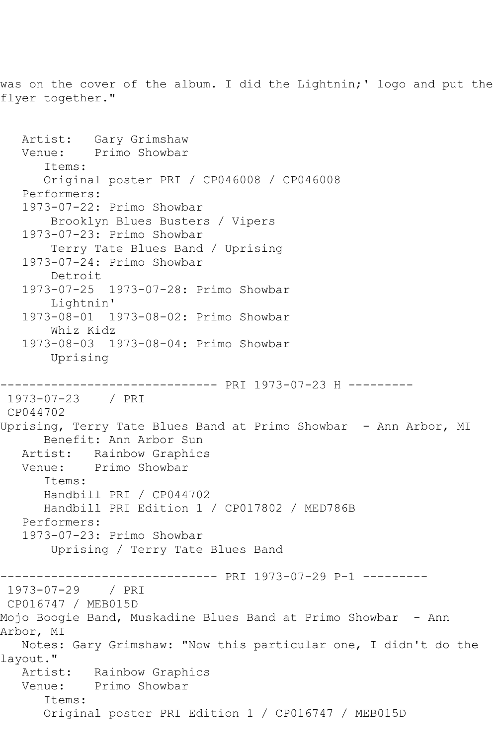was on the cover of the album. I did the Lightnin;' logo and put the flyer together."

```
 Artist: Gary Grimshaw
   Venue: Primo Showbar
       Items:
       Original poster PRI / CP046008 / CP046008
   Performers:
   1973-07-22: Primo Showbar
       Brooklyn Blues Busters / Vipers
   1973-07-23: Primo Showbar
       Terry Tate Blues Band / Uprising
   1973-07-24: Primo Showbar
       Detroit
   1973-07-25 1973-07-28: Primo Showbar
       Lightnin'
   1973-08-01 1973-08-02: Primo Showbar
       Whiz Kidz
   1973-08-03 1973-08-04: Primo Showbar
       Uprising
------------------------------ PRI 1973-07-23 H ---------
1973-07-23 / PRI 
CP044702
Uprising, Terry Tate Blues Band at Primo Showbar - Ann Arbor, MI
      Benefit: Ann Arbor Sun
   Artist: Rainbow Graphics
   Venue: Primo Showbar
      Items:
      Handbill PRI / CP044702
       Handbill PRI Edition 1 / CP017802 / MED786B
   Performers:
   1973-07-23: Primo Showbar
       Uprising / Terry Tate Blues Band
------------------------------ PRI 1973-07-29 P-1 ---------
1973-07-29 / PRI 
CP016747 / MEB015D
Mojo Boogie Band, Muskadine Blues Band at Primo Showbar - Ann 
Arbor, MI
   Notes: Gary Grimshaw: "Now this particular one, I didn't do the 
layout."
   Artist: Rainbow Graphics
   Venue: Primo Showbar
       Items:
       Original poster PRI Edition 1 / CP016747 / MEB015D
```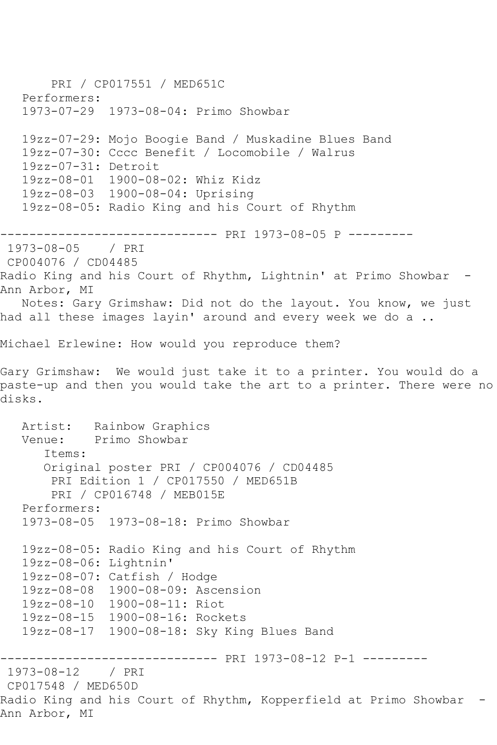PRI / CP017551 / MED651C Performers: 1973-07-29 1973-08-04: Primo Showbar 19zz-07-29: Mojo Boogie Band / Muskadine Blues Band 19zz-07-30: Cccc Benefit / Locomobile / Walrus 19zz-07-31: Detroit 19zz-08-01 1900-08-02: Whiz Kidz 19zz-08-03 1900-08-04: Uprising 19zz-08-05: Radio King and his Court of Rhythm ------------------------------ PRI 1973-08-05 P --------- 1973-08-05 / PRI CP004076 / CD04485 Radio King and his Court of Rhythm, Lightnin' at Primo Showbar -Ann Arbor, MI Notes: Gary Grimshaw: Did not do the layout. You know, we just had all these images layin' around and every week we do a .. Michael Erlewine: How would you reproduce them? Gary Grimshaw: We would just take it to a printer. You would do a paste-up and then you would take the art to a printer. There were no disks. Artist: Rainbow Graphics Venue: Primo Showbar Items: Original poster PRI / CP004076 / CD04485 PRI Edition 1 / CP017550 / MED651B PRI / CP016748 / MEB015E Performers: 1973-08-05 1973-08-18: Primo Showbar 19zz-08-05: Radio King and his Court of Rhythm 19zz-08-06: Lightnin' 19zz-08-07: Catfish / Hodge 19zz-08-08 1900-08-09: Ascension 19zz-08-10 1900-08-11: Riot 19zz-08-15 1900-08-16: Rockets 19zz-08-17 1900-08-18: Sky King Blues Band ------------------------------ PRI 1973-08-12 P-1 --------- 1973-08-12 CP017548 / MED650D Radio King and his Court of Rhythm, Kopperfield at Primo Showbar - Ann Arbor, MI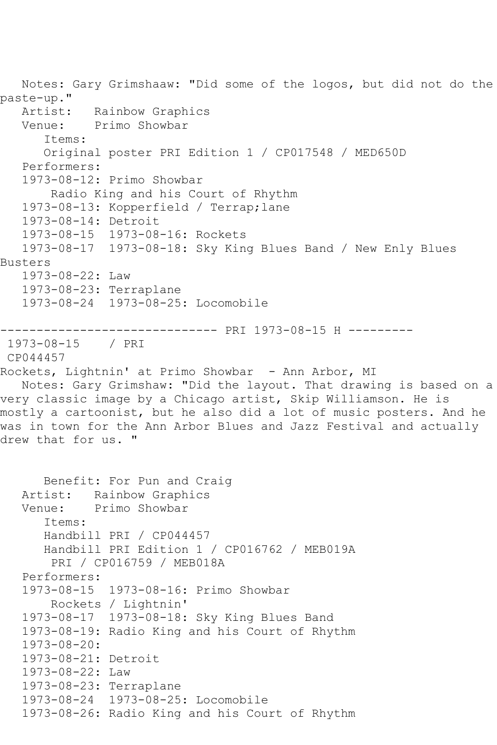Notes: Gary Grimshaaw: "Did some of the logos, but did not do the paste-up." Rainbow Graphics Venue: Primo Showbar Items: Original poster PRI Edition 1 / CP017548 / MED650D Performers: 1973-08-12: Primo Showbar Radio King and his Court of Rhythm 1973-08-13: Kopperfield / Terrap;lane 1973-08-14: Detroit 1973-08-15 1973-08-16: Rockets 1973-08-17 1973-08-18: Sky King Blues Band / New Enly Blues Busters 1973-08-22: Law 1973-08-23: Terraplane 1973-08-24 1973-08-25: Locomobile ------------------------------ PRI 1973-08-15 H --------- 1973-08-15 / PRI CP044457 Rockets, Lightnin' at Primo Showbar - Ann Arbor, MI Notes: Gary Grimshaw: "Did the layout. That drawing is based on a very classic image by a Chicago artist, Skip Williamson. He is mostly a cartoonist, but he also did a lot of music posters. And he was in town for the Ann Arbor Blues and Jazz Festival and actually drew that for us. " Benefit: For Pun and Craig Artist: Rainbow Graphics Venue: Primo Showbar Items: Handbill PRI / CP044457 Handbill PRI Edition 1 / CP016762 / MEB019A PRI / CP016759 / MEB018A Performers: 1973-08-15 1973-08-16: Primo Showbar Rockets / Lightnin' 1973-08-17 1973-08-18: Sky King Blues Band 1973-08-19: Radio King and his Court of Rhythm 1973-08-20: 1973-08-21: Detroit 1973-08-22: Law 1973-08-23: Terraplane 1973-08-24 1973-08-25: Locomobile 1973-08-26: Radio King and his Court of Rhythm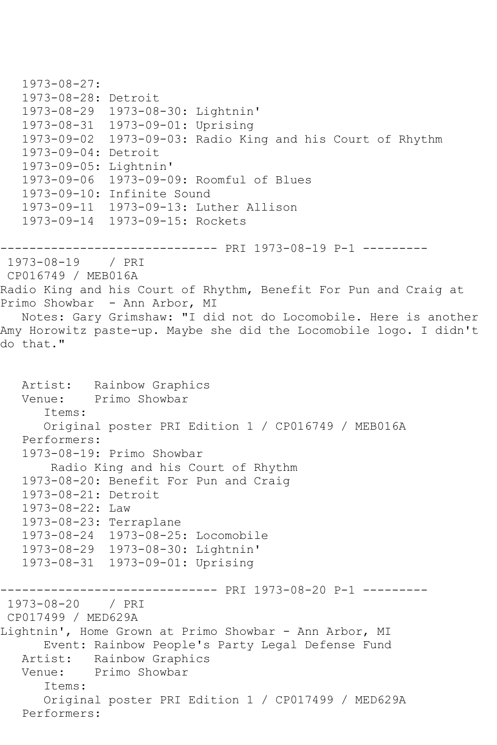```
 1973-08-27:
    1973-08-28: Detroit
 1973-08-29 1973-08-30: Lightnin'
 1973-08-31 1973-09-01: Uprising
   1973-09-02 1973-09-03: Radio King and his Court of Rhythm
    1973-09-04: Detroit
   1973-09-05: Lightnin'
    1973-09-06 1973-09-09: Roomful of Blues
    1973-09-10: Infinite Sound
    1973-09-11 1973-09-13: Luther Allison
    1973-09-14 1973-09-15: Rockets
------------------------------ PRI 1973-08-19 P-1 ---------
1973-08-19 / PRI 
CP016749 / MEB016A
Radio King and his Court of Rhythm, Benefit For Pun and Craig at 
Primo Showbar - Ann Arbor, MI
   Notes: Gary Grimshaw: "I did not do Locomobile. Here is another 
Amy Horowitz paste-up. Maybe she did the Locomobile logo. I didn't 
do that."
  Artist: Rainbow Graphics<br>Venue: Primo Showbar
           Primo Showbar
       Items:
       Original poster PRI Edition 1 / CP016749 / MEB016A
   Performers:
    1973-08-19: Primo Showbar
        Radio King and his Court of Rhythm
    1973-08-20: Benefit For Pun and Craig
   1973-08-21: Detroit
    1973-08-22: Law
   1973-08-23: Terraplane
   1973-08-24 1973-08-25: Locomobile
   1973-08-29 1973-08-30: Lightnin'
    1973-08-31 1973-09-01: Uprising
                    ------------------------------ PRI 1973-08-20 P-1 ---------
1973-08-20 / PRI 
CP017499 / MED629A
Lightnin', Home Grown at Primo Showbar - Ann Arbor, MI
       Event: Rainbow People's Party Legal Defense Fund
  Artist: Rainbow Graphics<br>Venue: Primo Showbar
            Primo Showbar
       Items:
       Original poster PRI Edition 1 / CP017499 / MED629A
   Performers:
```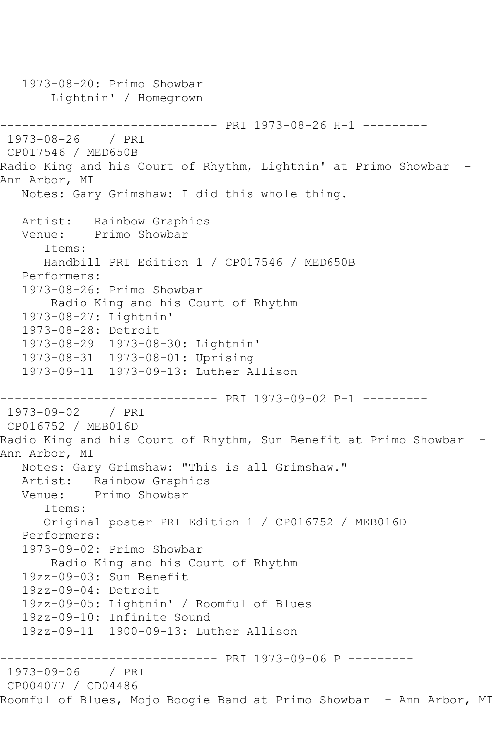1973-08-20: Primo Showbar Lightnin' / Homegrown ------------------------------ PRI 1973-08-26 H-1 --------- 1973-08-26 / PRI CP017546 / MED650B Radio King and his Court of Rhythm, Lightnin' at Primo Showbar -Ann Arbor, MI Notes: Gary Grimshaw: I did this whole thing. Artist: Rainbow Graphics Venue: Primo Showbar Items: Handbill PRI Edition 1 / CP017546 / MED650B Performers: 1973-08-26: Primo Showbar Radio King and his Court of Rhythm 1973-08-27: Lightnin' 1973-08-28: Detroit 1973-08-29 1973-08-30: Lightnin' 1973-08-31 1973-08-01: Uprising 1973-09-11 1973-09-13: Luther Allison ------------------------------ PRI 1973-09-02 P-1 --------- 1973-09-02 / PRI CP016752 / MEB016D Radio King and his Court of Rhythm, Sun Benefit at Primo Showbar - Ann Arbor, MI Notes: Gary Grimshaw: "This is all Grimshaw." Artist: Rainbow Graphics<br>Venue: Primo Showbar Primo Showbar Items: Original poster PRI Edition 1 / CP016752 / MEB016D Performers: 1973-09-02: Primo Showbar Radio King and his Court of Rhythm 19zz-09-03: Sun Benefit 19zz-09-04: Detroit 19zz-09-05: Lightnin' / Roomful of Blues 19zz-09-10: Infinite Sound 19zz-09-11 1900-09-13: Luther Allison ------------------------------ PRI 1973-09-06 P --------- 1973-09-06 / PRI CP004077 / CD04486 Roomful of Blues, Mojo Boogie Band at Primo Showbar - Ann Arbor, MI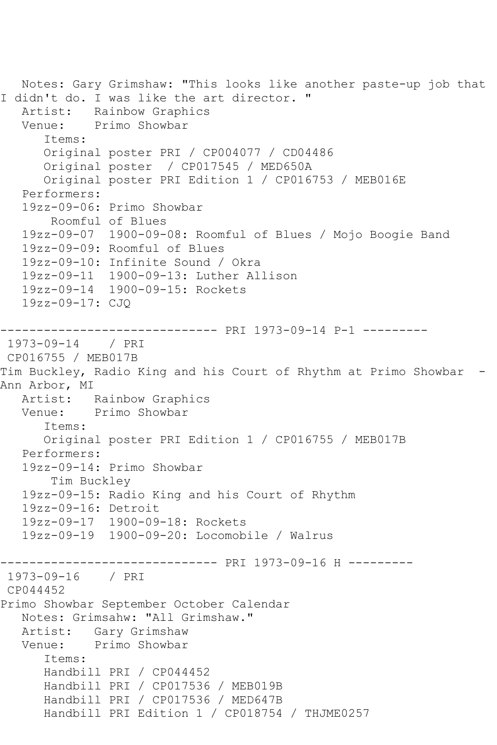```
 Notes: Gary Grimshaw: "This looks like another paste-up job that 
I didn't do. I was like the art director. "<br>Artist: Rainbow Graphics
           Rainbow Graphics
   Venue: Primo Showbar
       Items:
       Original poster PRI / CP004077 / CD04486
       Original poster / CP017545 / MED650A
       Original poster PRI Edition 1 / CP016753 / MEB016E
    Performers:
    19zz-09-06: Primo Showbar
        Roomful of Blues
    19zz-09-07 1900-09-08: Roomful of Blues / Mojo Boogie Band
   19zz-09-09: Roomful of Blues
   19zz-09-10: Infinite Sound / Okra
   19zz-09-11 1900-09-13: Luther Allison
   19zz-09-14 1900-09-15: Rockets
    19zz-09-17: CJQ
     ------------------------------ PRI 1973-09-14 P-1 ---------
1973-09-14 / PRI 
CP016755 / MEB017B
Tim Buckley, Radio King and his Court of Rhythm at Primo Showbar -
Ann Arbor, MI
   Artist: Rainbow Graphics
   Venue: Primo Showbar
       Items:
       Original poster PRI Edition 1 / CP016755 / MEB017B
   Performers:
    19zz-09-14: Primo Showbar
        Tim Buckley
   19zz-09-15: Radio King and his Court of Rhythm
   19zz-09-16: Detroit
    19zz-09-17 1900-09-18: Rockets
   19zz-09-19 1900-09-20: Locomobile / Walrus
------------------------------ PRI 1973-09-16 H ---------
1973-09-16 / PRI 
CP044452
Primo Showbar September October Calendar
   Notes: Grimsahw: "All Grimshaw."
   Artist: Gary Grimshaw
   Venue: Primo Showbar
       Items:
       Handbill PRI / CP044452
       Handbill PRI / CP017536 / MEB019B
       Handbill PRI / CP017536 / MED647B
       Handbill PRI Edition 1 / CP018754 / THJME0257
```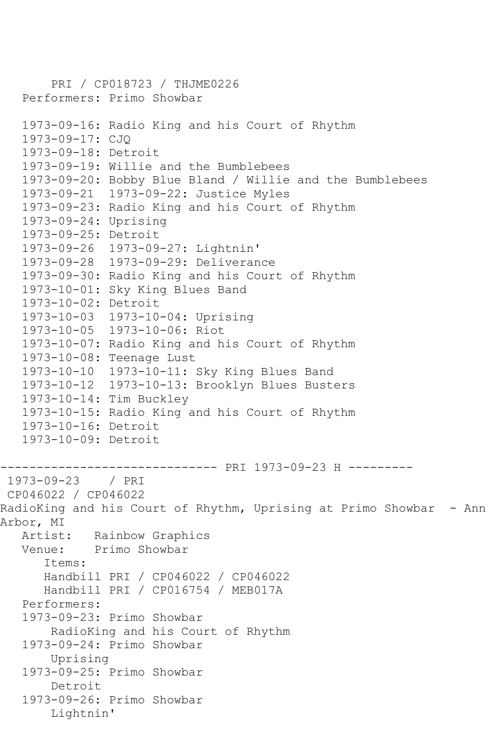```
 PRI / CP018723 / THJME0226
    Performers: Primo Showbar
    1973-09-16: Radio King and his Court of Rhythm
    1973-09-17: CJQ
    1973-09-18: Detroit
    1973-09-19: Willie and the Bumblebees
    1973-09-20: Bobby Blue Bland / Willie and the Bumblebees
    1973-09-21 1973-09-22: Justice Myles
   1973-09-23: Radio King and his Court of Rhythm
    1973-09-24: Uprising
    1973-09-25: Detroit
   1973-09-26 1973-09-27: Lightnin'
    1973-09-28 1973-09-29: Deliverance
    1973-09-30: Radio King and his Court of Rhythm
    1973-10-01: Sky King Blues Band
   1973-10-02: Detroit
    1973-10-03 1973-10-04: Uprising
   1973-10-05 1973-10-06: Riot
   1973-10-07: Radio King and his Court of Rhythm
    1973-10-08: Teenage Lust
   1973-10-10 1973-10-11: Sky King Blues Band
   1973-10-12 1973-10-13: Brooklyn Blues Busters
    1973-10-14: Tim Buckley
   1973-10-15: Radio King and his Court of Rhythm
    1973-10-16: Detroit
    1973-10-09: Detroit
------------------------------ PRI 1973-09-23 H ---------
1973-09-23 / PRI 
CP046022 / CP046022
RadioKing and his Court of Rhythm, Uprising at Primo Showbar - Ann 
Arbor, MI<br>Artist:
            Rainbow Graphics
   Venue: Primo Showbar
       Items:
       Handbill PRI / CP046022 / CP046022
       Handbill PRI / CP016754 / MEB017A
    Performers:
    1973-09-23: Primo Showbar
        RadioKing and his Court of Rhythm
    1973-09-24: Primo Showbar
        Uprising
    1973-09-25: Primo Showbar
        Detroit
    1973-09-26: Primo Showbar
        Lightnin'
```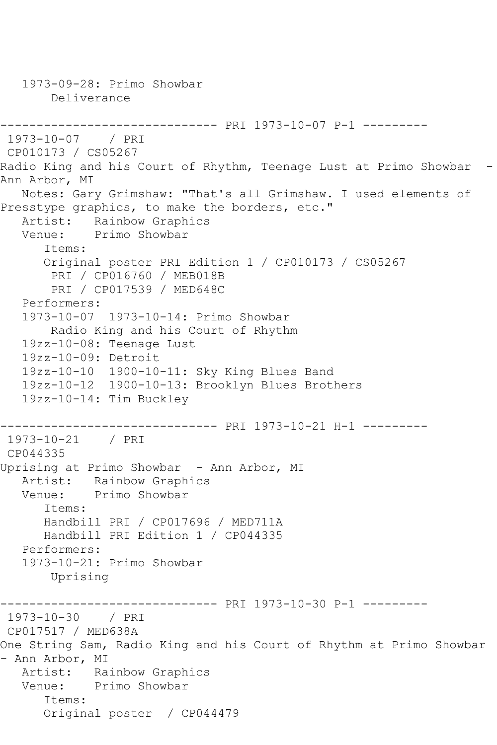1973-09-28: Primo Showbar Deliverance ------------------------------ PRI 1973-10-07 P-1 --------- 1973-10-07 / PRI CP010173 / CS05267 Radio King and his Court of Rhythm, Teenage Lust at Primo Showbar - Ann Arbor, MI Notes: Gary Grimshaw: "That's all Grimshaw. I used elements of Presstype graphics, to make the borders, etc." Artist: Rainbow Graphics Venue: Primo Showbar Items: Original poster PRI Edition 1 / CP010173 / CS05267 PRI / CP016760 / MEB018B PRI / CP017539 / MED648C Performers: 1973-10-07 1973-10-14: Primo Showbar Radio King and his Court of Rhythm 19zz-10-08: Teenage Lust 19zz-10-09: Detroit 19zz-10-10 1900-10-11: Sky King Blues Band 19zz-10-12 1900-10-13: Brooklyn Blues Brothers 19zz-10-14: Tim Buckley ------------------------------ PRI 1973-10-21 H-1 --------- 1973-10-21 / PRI CP044335 Uprising at Primo Showbar - Ann Arbor, MI Artist: Rainbow Graphics<br>Venue: Primo Showbar Primo Showbar Items: Handbill PRI / CP017696 / MED711A Handbill PRI Edition 1 / CP044335 Performers: 1973-10-21: Primo Showbar Uprising ------------------------------ PRI 1973-10-30 P-1 --------- 1973-10-30 / PRI CP017517 / MED638A One String Sam, Radio King and his Court of Rhythm at Primo Showbar - Ann Arbor, MI Artist: Rainbow Graphics Venue: Primo Showbar Items: Original poster / CP044479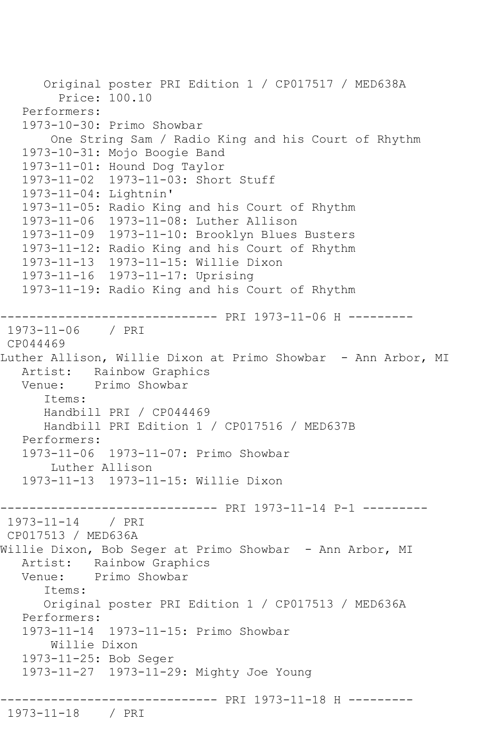```
 Original poster PRI Edition 1 / CP017517 / MED638A
         Price: 100.10
   Performers:
   1973-10-30: Primo Showbar
        One String Sam / Radio King and his Court of Rhythm
   1973-10-31: Mojo Boogie Band
   1973-11-01: Hound Dog Taylor
   1973-11-02 1973-11-03: Short Stuff
   1973-11-04: Lightnin'
   1973-11-05: Radio King and his Court of Rhythm
   1973-11-06 1973-11-08: Luther Allison
   1973-11-09 1973-11-10: Brooklyn Blues Busters
   1973-11-12: Radio King and his Court of Rhythm
   1973-11-13 1973-11-15: Willie Dixon
   1973-11-16 1973-11-17: Uprising
   1973-11-19: Radio King and his Court of Rhythm
------------------------------ PRI 1973-11-06 H ---------
1973-11-06 / PRI 
CP044469
Luther Allison, Willie Dixon at Primo Showbar - Ann Arbor, MI
   Artist: Rainbow Graphics
   Venue: Primo Showbar
       Items:
      Handbill PRI / CP044469
      Handbill PRI Edition 1 / CP017516 / MED637B
   Performers:
   1973-11-06 1973-11-07: Primo Showbar
        Luther Allison
   1973-11-13 1973-11-15: Willie Dixon
------------------------------ PRI 1973-11-14 P-1 ---------
1973-11-14 / PRI 
CP017513 / MED636A
Willie Dixon, Bob Seger at Primo Showbar - Ann Arbor, MI
  Artist: Rainbow Graphics<br>Venue: Primo Showbar
           Primo Showbar
       Items:
      Original poster PRI Edition 1 / CP017513 / MED636A
   Performers:
   1973-11-14 1973-11-15: Primo Showbar
       Willie Dixon
   1973-11-25: Bob Seger
   1973-11-27 1973-11-29: Mighty Joe Young
          ------------------------------ PRI 1973-11-18 H ---------
1973-11-18 / PRI
```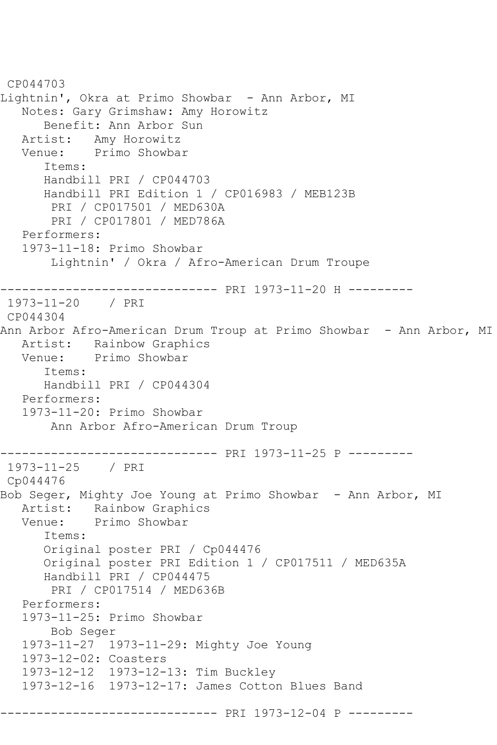```
CP044703
Lightnin', Okra at Primo Showbar - Ann Arbor, MI
   Notes: Gary Grimshaw: Amy Horowitz
       Benefit: Ann Arbor Sun
   Artist: Amy Horowitz
   Venue: Primo Showbar
      Items:
      Handbill PRI / CP044703
       Handbill PRI Edition 1 / CP016983 / MEB123B
        PRI / CP017501 / MED630A
        PRI / CP017801 / MED786A
   Performers:
   1973-11-18: Primo Showbar
        Lightnin' / Okra / Afro-American Drum Troupe
------------------------------ PRI 1973-11-20 H ---------
1973-11-20 / PRI 
CP044304
Ann Arbor Afro-American Drum Troup at Primo Showbar - Ann Arbor, MI
  Artist: Rainbow Graphics<br>Venue: Primo Showbar
            Primo Showbar
       Items:
      Handbill PRI / CP044304
   Performers:
   1973-11-20: Primo Showbar
        Ann Arbor Afro-American Drum Troup
   ------------------------------ PRI 1973-11-25 P ---------
1973-11-25 / PRI 
Cp044476
Bob Seger, Mighty Joe Young at Primo Showbar - Ann Arbor, MI
   Artist: Rainbow Graphics
   Venue: Primo Showbar
       Items:
      Original poster PRI / Cp044476
      Original poster PRI Edition 1 / CP017511 / MED635A
      Handbill PRI / CP044475
       PRI / CP017514 / MED636B
   Performers:
   1973-11-25: Primo Showbar
        Bob Seger
   1973-11-27 1973-11-29: Mighty Joe Young
   1973-12-02: Coasters
   1973-12-12 1973-12-13: Tim Buckley
   1973-12-16 1973-12-17: James Cotton Blues Band
------------------------------ PRI 1973-12-04 P ---------
```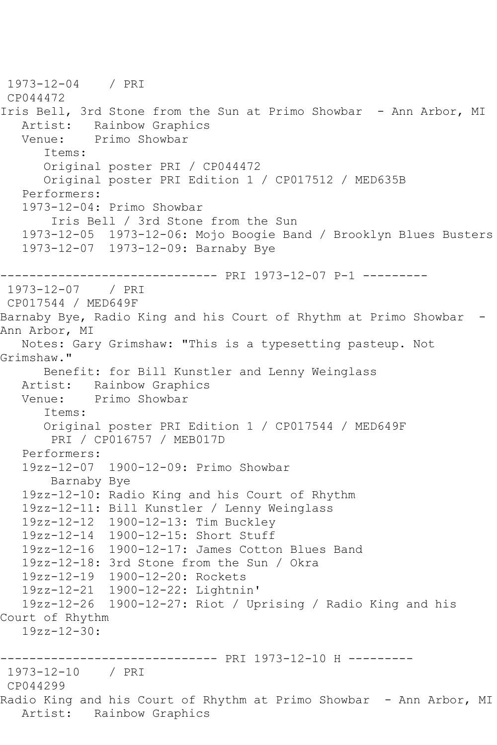```
1973-12-04 / PRI 
CP044472
Iris Bell, 3rd Stone from the Sun at Primo Showbar - Ann Arbor, MI
  Artist: Rainbow Graphics<br>Venue: Primo Showbar
            Primo Showbar
       Items:
       Original poster PRI / CP044472
       Original poster PRI Edition 1 / CP017512 / MED635B
   Performers:
   1973-12-04: Primo Showbar
        Iris Bell / 3rd Stone from the Sun
    1973-12-05 1973-12-06: Mojo Boogie Band / Brooklyn Blues Busters
    1973-12-07 1973-12-09: Barnaby Bye
------------------------------ PRI 1973-12-07 P-1 ---------
1973-12-07 / PRI 
CP017544 / MED649F
Barnaby Bye, Radio King and his Court of Rhythm at Primo Showbar -
Ann Arbor, MI
   Notes: Gary Grimshaw: "This is a typesetting pasteup. Not 
Grimshaw."
       Benefit: for Bill Kunstler and Lenny Weinglass
  Artist: Rainbow Graphics<br>Venue: Primo Showbar
           Primo Showbar
       Items:
       Original poster PRI Edition 1 / CP017544 / MED649F
        PRI / CP016757 / MEB017D
   Performers:
   19zz-12-07 1900-12-09: Primo Showbar
        Barnaby Bye
   19zz-12-10: Radio King and his Court of Rhythm
   19zz-12-11: Bill Kunstler / Lenny Weinglass
   19zz-12-12 1900-12-13: Tim Buckley
   19zz-12-14 1900-12-15: Short Stuff
   19zz-12-16 1900-12-17: James Cotton Blues Band
   19zz-12-18: 3rd Stone from the Sun / Okra
   19zz-12-19 1900-12-20: Rockets
   19zz-12-21 1900-12-22: Lightnin'
   19zz-12-26 1900-12-27: Riot / Uprising / Radio King and his 
Court of Rhythm
   19zz - 12 - 30------------------------------ PRI 1973-12-10 H ---------
1973-12-10 / PRI 
CP044299
Radio King and his Court of Rhythm at Primo Showbar - Ann Arbor, MI
   Artist: Rainbow Graphics
```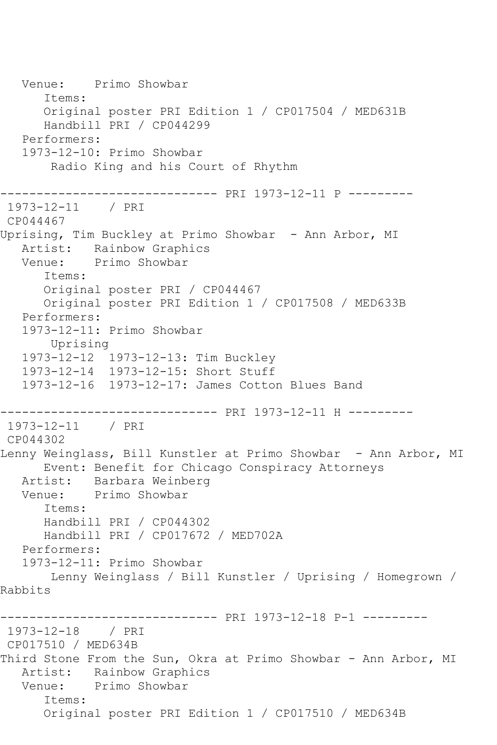Venue: Primo Showbar Items: Original poster PRI Edition 1 / CP017504 / MED631B Handbill PRI / CP044299 Performers: 1973-12-10: Primo Showbar Radio King and his Court of Rhythm ------------------------------ PRI 1973-12-11 P --------- 1973-12-11 / PRI CP044467 Uprising, Tim Buckley at Primo Showbar - Ann Arbor, MI Artist: Rainbow Graphics Venue: Primo Showbar Items: Original poster PRI / CP044467 Original poster PRI Edition 1 / CP017508 / MED633B Performers: 1973-12-11: Primo Showbar Uprising 1973-12-12 1973-12-13: Tim Buckley 1973-12-14 1973-12-15: Short Stuff 1973-12-16 1973-12-17: James Cotton Blues Band ------------------------------ PRI 1973-12-11 H --------- 1973-12-11 / PRI CP044302 Lenny Weinglass, Bill Kunstler at Primo Showbar - Ann Arbor, MI Event: Benefit for Chicago Conspiracy Attorneys Artist: Barbara Weinberg<br>Venue: Primo Showbar Primo Showbar Items: Handbill PRI / CP044302 Handbill PRI / CP017672 / MED702A Performers: 1973-12-11: Primo Showbar Lenny Weinglass / Bill Kunstler / Uprising / Homegrown / Rabbits ------------------------------ PRI 1973-12-18 P-1 --------- 1973-12-18 / PRI CP017510 / MED634B Third Stone From the Sun, Okra at Primo Showbar - Ann Arbor, MI Artist: Rainbow Graphics Venue: Primo Showbar Items: Original poster PRI Edition 1 / CP017510 / MED634B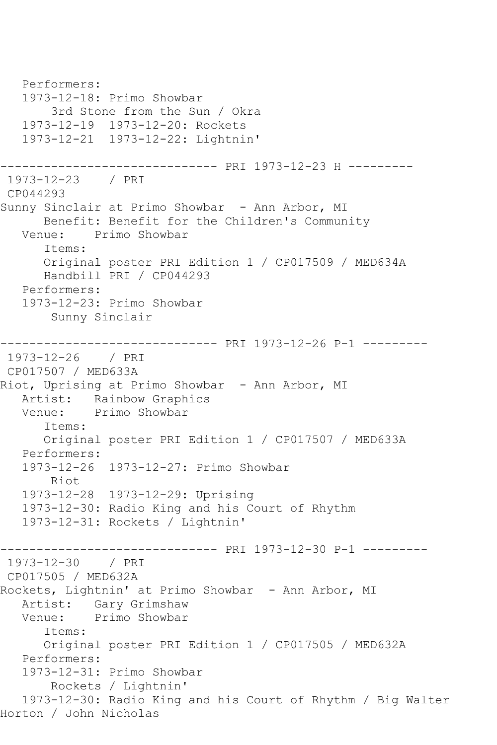Performers: 1973-12-18: Primo Showbar 3rd Stone from the Sun / Okra 1973-12-19 1973-12-20: Rockets 1973-12-21 1973-12-22: Lightnin' ------------------------------ PRI 1973-12-23 H --------- 1973-12-23 / PRI CP044293 Sunny Sinclair at Primo Showbar - Ann Arbor, MI Benefit: Benefit for the Children's Community Venue: Primo Showbar Items: Original poster PRI Edition 1 / CP017509 / MED634A Handbill PRI / CP044293 Performers: 1973-12-23: Primo Showbar Sunny Sinclair ------------------------------ PRI 1973-12-26 P-1 --------- 1973-12-26 / PRI CP017507 / MED633A Riot, Uprising at Primo Showbar - Ann Arbor, MI Artist: Rainbow Graphics Venue: Primo Showbar Items: Original poster PRI Edition 1 / CP017507 / MED633A Performers: 1973-12-26 1973-12-27: Primo Showbar Riot 1973-12-28 1973-12-29: Uprising 1973-12-30: Radio King and his Court of Rhythm 1973-12-31: Rockets / Lightnin' ------------------------------ PRI 1973-12-30 P-1 --------- 1973-12-30 / PRI CP017505 / MED632A Rockets, Lightnin' at Primo Showbar - Ann Arbor, MI Artist: Gary Grimshaw<br>Venue: Primo Showbar Primo Showbar Items: Original poster PRI Edition 1 / CP017505 / MED632A Performers: 1973-12-31: Primo Showbar Rockets / Lightnin' 1973-12-30: Radio King and his Court of Rhythm / Big Walter Horton / John Nicholas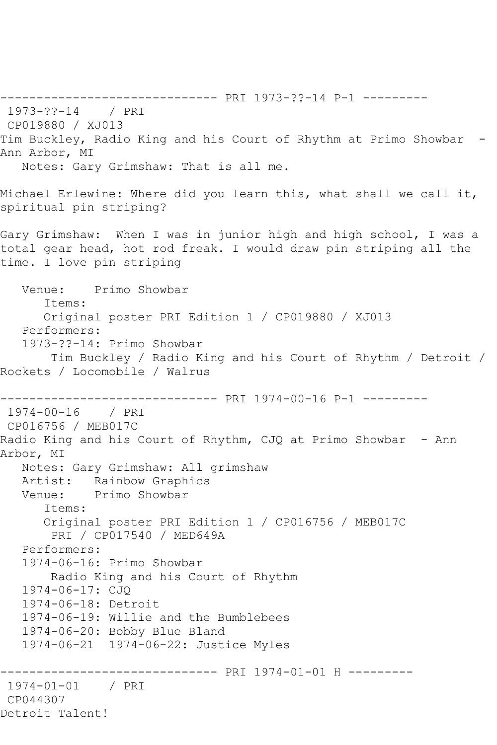------------------------------ PRI 1973-??-14 P-1 --------- 1973-??-14 / PRI CP019880 / XJ013 Tim Buckley, Radio King and his Court of Rhythm at Primo Showbar - Ann Arbor, MI Notes: Gary Grimshaw: That is all me. Michael Erlewine: Where did you learn this, what shall we call it, spiritual pin striping? Gary Grimshaw: When I was in junior high and high school, I was a total gear head, hot rod freak. I would draw pin striping all the time. I love pin striping Venue: Primo Showbar Items: Original poster PRI Edition 1 / CP019880 / XJ013 Performers: 1973-??-14: Primo Showbar Tim Buckley / Radio King and his Court of Rhythm / Detroit / Rockets / Locomobile / Walrus ------------------------------ PRI 1974-00-16 P-1 --------- 1974-00-16 / PRI CP016756 / MEB017C Radio King and his Court of Rhythm, CJQ at Primo Showbar - Ann Arbor, MI Notes: Gary Grimshaw: All grimshaw Artist: Rainbow Graphics Venue: Primo Showbar Items: Original poster PRI Edition 1 / CP016756 / MEB017C PRI / CP017540 / MED649A Performers: 1974-06-16: Primo Showbar Radio King and his Court of Rhythm 1974-06-17: CJQ 1974-06-18: Detroit 1974-06-19: Willie and the Bumblebees 1974-06-20: Bobby Blue Bland 1974-06-21 1974-06-22: Justice Myles ------------------------------ PRI 1974-01-01 H --------- 1974-01-01 / PRI CP044307 Detroit Talent!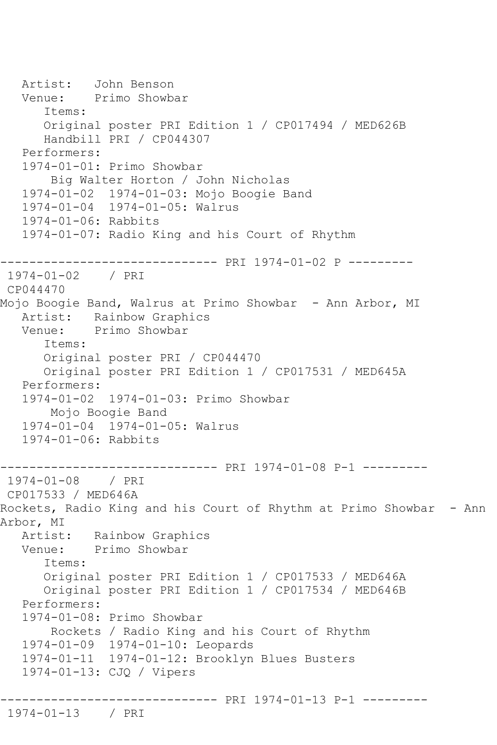```
 Artist: John Benson
   Venue: Primo Showbar
       Items:
      Original poster PRI Edition 1 / CP017494 / MED626B
       Handbill PRI / CP044307
   Performers:
   1974-01-01: Primo Showbar
        Big Walter Horton / John Nicholas
   1974-01-02 1974-01-03: Mojo Boogie Band
   1974-01-04 1974-01-05: Walrus
   1974-01-06: Rabbits
   1974-01-07: Radio King and his Court of Rhythm
------------------------------ PRI 1974-01-02 P ---------
1974-01-02 / PRI 
CP044470
Mojo Boogie Band, Walrus at Primo Showbar - Ann Arbor, MI
   Artist: Rainbow Graphics
   Venue: Primo Showbar
       Items:
       Original poster PRI / CP044470
       Original poster PRI Edition 1 / CP017531 / MED645A
   Performers:
   1974-01-02 1974-01-03: Primo Showbar
        Mojo Boogie Band
   1974-01-04 1974-01-05: Walrus
   1974-01-06: Rabbits
------------------------------ PRI 1974-01-08 P-1 ---------
1974-01-08 / PRI 
CP017533 / MED646A
Rockets, Radio King and his Court of Rhythm at Primo Showbar - Ann 
Arbor, MI<br>Artist:
           Rainbow Graphics
   Venue: Primo Showbar
       Items:
       Original poster PRI Edition 1 / CP017533 / MED646A
       Original poster PRI Edition 1 / CP017534 / MED646B
   Performers:
   1974-01-08: Primo Showbar
        Rockets / Radio King and his Court of Rhythm
   1974-01-09 1974-01-10: Leopards
   1974-01-11 1974-01-12: Brooklyn Blues Busters
   1974-01-13: CJQ / Vipers
------------------------------ PRI 1974-01-13 P-1 ---------
1974-01-13 / PRI
```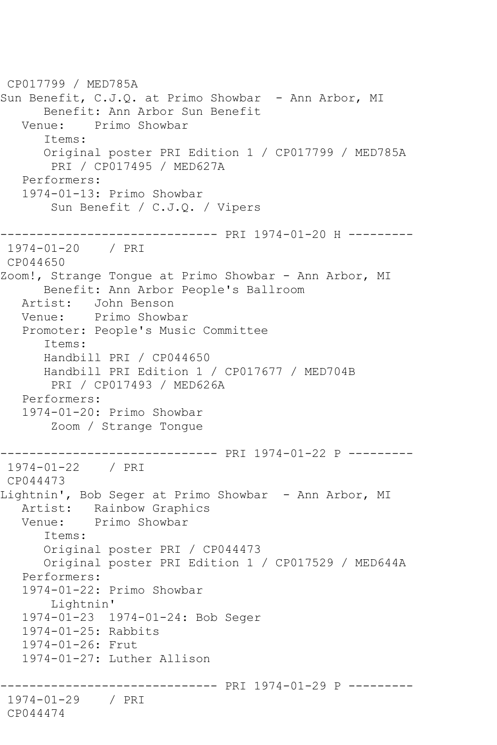CP017799 / MED785A Sun Benefit, C.J.Q. at Primo Showbar - Ann Arbor, MI Benefit: Ann Arbor Sun Benefit Venue: Primo Showbar Items: Original poster PRI Edition 1 / CP017799 / MED785A PRI / CP017495 / MED627A Performers: 1974-01-13: Primo Showbar Sun Benefit / C.J.Q. / Vipers ------------------------------ PRI 1974-01-20 H --------- 1974-01-20 / PRI CP044650 Zoom!, Strange Tongue at Primo Showbar - Ann Arbor, MI Benefit: Ann Arbor People's Ballroom Artist: John Benson Venue: Primo Showbar Promoter: People's Music Committee Items: Handbill PRI / CP044650 Handbill PRI Edition 1 / CP017677 / MED704B PRI / CP017493 / MED626A Performers: 1974-01-20: Primo Showbar Zoom / Strange Tongue ------------------------------ PRI 1974-01-22 P --------- 1974-01-22 / PRI CP044473 Lightnin', Bob Seger at Primo Showbar - Ann Arbor, MI Artist: Rainbow Graphics Venue: Primo Showbar Items: Original poster PRI / CP044473 Original poster PRI Edition 1 / CP017529 / MED644A Performers: 1974-01-22: Primo Showbar Lightnin' 1974-01-23 1974-01-24: Bob Seger 1974-01-25: Rabbits 1974-01-26: Frut 1974-01-27: Luther Allison ------------------------------ PRI 1974-01-29 P --------- 1974-01-29 / PRI CP044474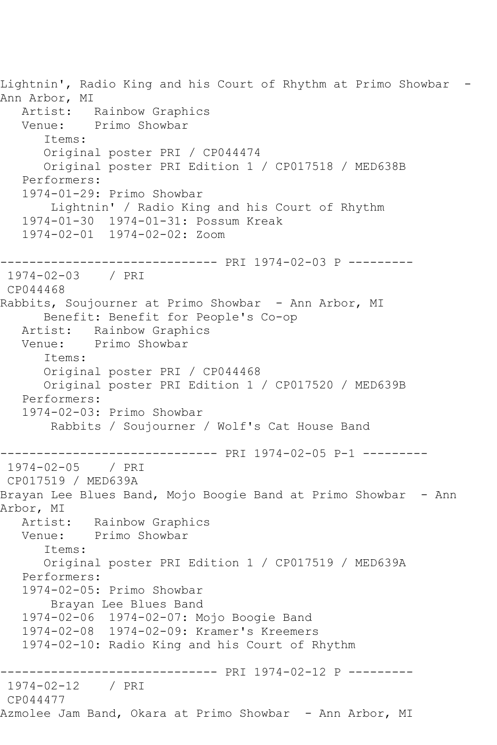Lightnin', Radio King and his Court of Rhythm at Primo Showbar - Ann Arbor, MI<br>Artist: Rainbow Graphics Venue: Primo Showbar Items: Original poster PRI / CP044474 Original poster PRI Edition 1 / CP017518 / MED638B Performers: 1974-01-29: Primo Showbar Lightnin' / Radio King and his Court of Rhythm 1974-01-30 1974-01-31: Possum Kreak 1974-02-01 1974-02-02: Zoom ------------------------------ PRI 1974-02-03 P --------- 1974-02-03 / PRI CP044468 Rabbits, Soujourner at Primo Showbar - Ann Arbor, MI Benefit: Benefit for People's Co-op Artist: Rainbow Graphics Venue: Primo Showbar Items: Original poster PRI / CP044468 Original poster PRI Edition 1 / CP017520 / MED639B Performers: 1974-02-03: Primo Showbar Rabbits / Soujourner / Wolf's Cat House Band ------------------------------ PRI 1974-02-05 P-1 ---------  $1974 - 02 - 05$ CP017519 / MED639A Brayan Lee Blues Band, Mojo Boogie Band at Primo Showbar - Ann Arbor, MI Artist: Rainbow Graphics<br>Venue: Primo Showbar Primo Showbar Items: Original poster PRI Edition 1 / CP017519 / MED639A Performers: 1974-02-05: Primo Showbar Brayan Lee Blues Band 1974-02-06 1974-02-07: Mojo Boogie Band 1974-02-08 1974-02-09: Kramer's Kreemers 1974-02-10: Radio King and his Court of Rhythm ------------------------------ PRI 1974-02-12 P --------- 1974-02-12 / PRI CP044477 Azmolee Jam Band, Okara at Primo Showbar - Ann Arbor, MI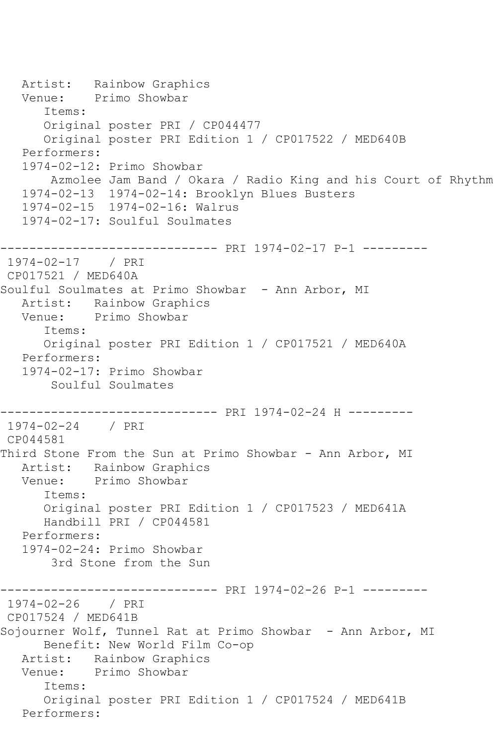```
Artist: Rainbow Graphics<br>Venue: Primo Showbar
            Primo Showbar
       Items:
       Original poster PRI / CP044477
       Original poster PRI Edition 1 / CP017522 / MED640B
   Performers:
   1974-02-12: Primo Showbar
        Azmolee Jam Band / Okara / Radio King and his Court of Rhythm
    1974-02-13 1974-02-14: Brooklyn Blues Busters
    1974-02-15 1974-02-16: Walrus
    1974-02-17: Soulful Soulmates
------------------------------ PRI 1974-02-17 P-1 ---------
1974-02-17 / PRI 
CP017521 / MED640A
Soulful Soulmates at Primo Showbar - Ann Arbor, MI
  Artist: Rainbow Graphics<br>Venue: Primo Showbar
            Primo Showbar
       Items:
       Original poster PRI Edition 1 / CP017521 / MED640A
   Performers:
    1974-02-17: Primo Showbar
        Soulful Soulmates
   ------------------------------ PRI 1974-02-24 H ---------
1974-02-24 / PRI 
CP044581
Third Stone From the Sun at Primo Showbar - Ann Arbor, MI
   Artist: Rainbow Graphics
   Venue: Primo Showbar
       Items:
       Original poster PRI Edition 1 / CP017523 / MED641A
       Handbill PRI / CP044581
   Performers:
    1974-02-24: Primo Showbar
        3rd Stone from the Sun
             ------------------------------ PRI 1974-02-26 P-1 ---------
1974-02-26 / PRI 
CP017524 / MED641B
Sojourner Wolf, Tunnel Rat at Primo Showbar - Ann Arbor, MI
       Benefit: New World Film Co-op
   Artist: Rainbow Graphics
   Venue: Primo Showbar
       Items:
       Original poster PRI Edition 1 / CP017524 / MED641B
   Performers:
```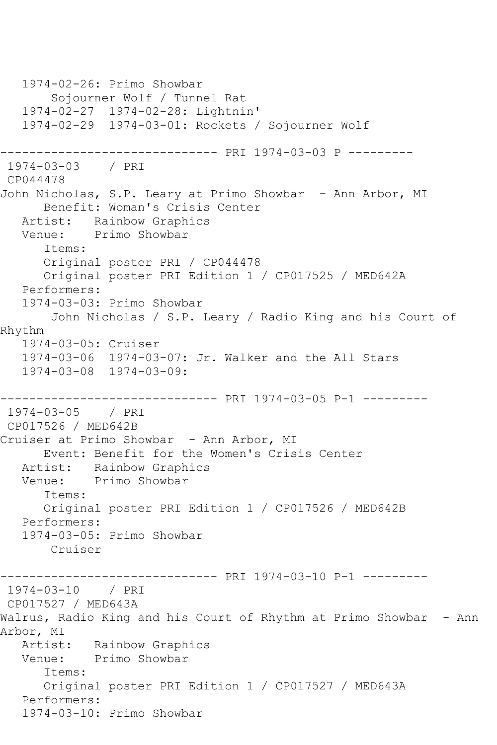1974-02-26: Primo Showbar Sojourner Wolf / Tunnel Rat 1974-02-27 1974-02-28: Lightnin' 1974-02-29 1974-03-01: Rockets / Sojourner Wolf ------------------------------ PRI 1974-03-03 P --------- 1974-03-03 / PRI CP044478 John Nicholas, S.P. Leary at Primo Showbar - Ann Arbor, MI Benefit: Woman's Crisis Center Artist: Rainbow Graphics Venue: Primo Showbar Items: Original poster PRI / CP044478 Original poster PRI Edition 1 / CP017525 / MED642A Performers: 1974-03-03: Primo Showbar John Nicholas / S.P. Leary / Radio King and his Court of Rhythm 1974-03-05: Cruiser 1974-03-06 1974-03-07: Jr. Walker and the All Stars 1974-03-08 1974-03-09: ------------------------------ PRI 1974-03-05 P-1 --------- 1974-03-05 / PRI CP017526 / MED642B Cruiser at Primo Showbar - Ann Arbor, MI Event: Benefit for the Women's Crisis Center Artist: Rainbow Graphics Venue: Primo Showbar Items: Original poster PRI Edition 1 / CP017526 / MED642B Performers: 1974-03-05: Primo Showbar Cruiser ------------------------------ PRI 1974-03-10 P-1 --------- 1974-03-10 / PRI CP017527 / MED643A Walrus, Radio King and his Court of Rhythm at Primo Showbar - Ann Arbor, MI Artist: Rainbow Graphics Venue: Primo Showbar Items: Original poster PRI Edition 1 / CP017527 / MED643A Performers: 1974-03-10: Primo Showbar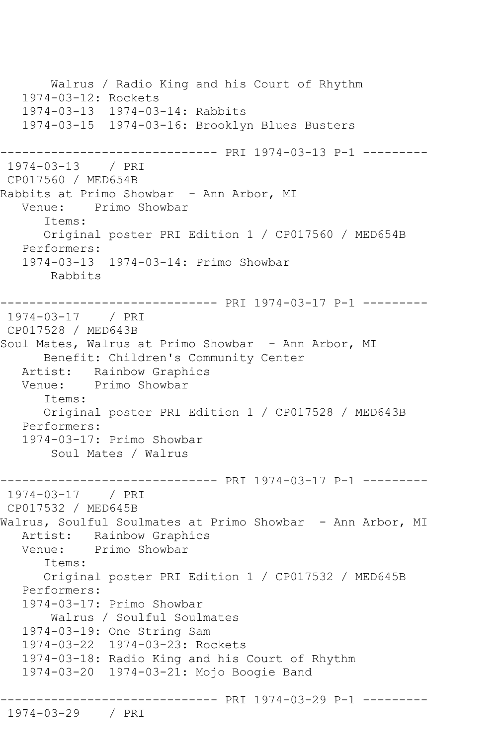Walrus / Radio King and his Court of Rhythm 1974-03-12: Rockets 1974-03-13 1974-03-14: Rabbits 1974-03-15 1974-03-16: Brooklyn Blues Busters ------------------------------ PRI 1974-03-13 P-1 --------- 1974-03-13 / PRI CP017560 / MED654B Rabbits at Primo Showbar - Ann Arbor, MI Venue: Primo Showbar Items: Original poster PRI Edition 1 / CP017560 / MED654B Performers: 1974-03-13 1974-03-14: Primo Showbar Rabbits ------------------------------ PRI 1974-03-17 P-1 --------- 1974-03-17 / PRI CP017528 / MED643B Soul Mates, Walrus at Primo Showbar - Ann Arbor, MI Benefit: Children's Community Center Artist: Rainbow Graphics Venue: Primo Showbar Items: Original poster PRI Edition 1 / CP017528 / MED643B Performers: 1974-03-17: Primo Showbar Soul Mates / Walrus ------------------------------ PRI 1974-03-17 P-1 --------- 1974-03-17 / PRI CP017532 / MED645B Walrus, Soulful Soulmates at Primo Showbar - Ann Arbor, MI Artist: Rainbow Graphics Venue: Primo Showbar Items: Original poster PRI Edition 1 / CP017532 / MED645B Performers: 1974-03-17: Primo Showbar Walrus / Soulful Soulmates 1974-03-19: One String Sam 1974-03-22 1974-03-23: Rockets 1974-03-18: Radio King and his Court of Rhythm 1974-03-20 1974-03-21: Mojo Boogie Band ------------------------------ PRI 1974-03-29 P-1 --------- 1974-03-29 / PRI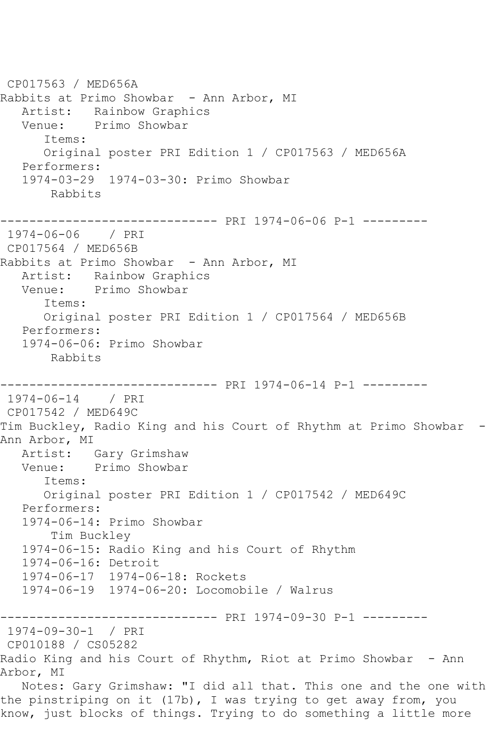CP017563 / MED656A Rabbits at Primo Showbar - Ann Arbor, MI Artist: Rainbow Graphics Venue: Primo Showbar Items: Original poster PRI Edition 1 / CP017563 / MED656A Performers: 1974-03-29 1974-03-30: Primo Showbar Rabbits ------------------------------ PRI 1974-06-06 P-1 --------- 1974-06-06 / PRI CP017564 / MED656B Rabbits at Primo Showbar - Ann Arbor, MI Artist: Rainbow Graphics Venue: Primo Showbar Items: Original poster PRI Edition 1 / CP017564 / MED656B Performers: 1974-06-06: Primo Showbar Rabbits ------------------------------ PRI 1974-06-14 P-1 --------- 1974-06-14 / PRI CP017542 / MED649C Tim Buckley, Radio King and his Court of Rhythm at Primo Showbar - Ann Arbor, MI Artist: Gary Grimshaw Venue: Primo Showbar Items: Original poster PRI Edition 1 / CP017542 / MED649C Performers: 1974-06-14: Primo Showbar Tim Buckley 1974-06-15: Radio King and his Court of Rhythm 1974-06-16: Detroit 1974-06-17 1974-06-18: Rockets 1974-06-19 1974-06-20: Locomobile / Walrus ------------------------------ PRI 1974-09-30 P-1 --------- 1974-09-30-1 / PRI CP010188 / CS05282 Radio King and his Court of Rhythm, Riot at Primo Showbar - Ann Arbor, MI Notes: Gary Grimshaw: "I did all that. This one and the one with the pinstriping on it (17b), I was trying to get away from, you know, just blocks of things. Trying to do something a little more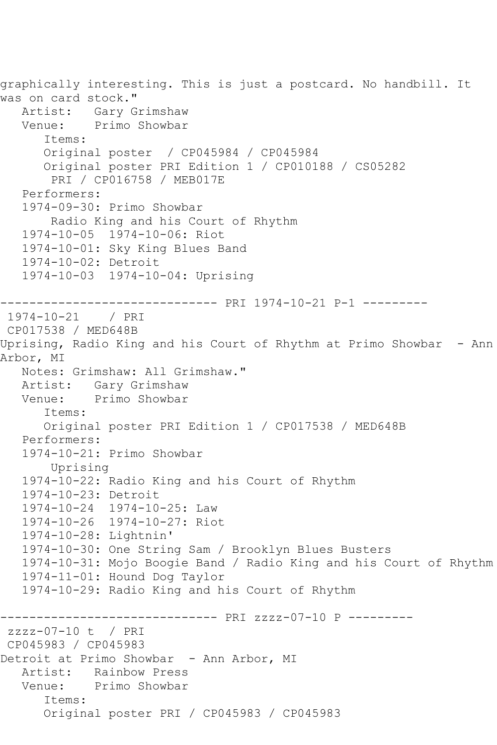graphically interesting. This is just a postcard. No handbill. It was on card stock."<br>Artist: Gary G Gary Grimshaw Venue: Primo Showbar Items: Original poster / CP045984 / CP045984 Original poster PRI Edition 1 / CP010188 / CS05282 PRI / CP016758 / MEB017E Performers: 1974-09-30: Primo Showbar Radio King and his Court of Rhythm 1974-10-05 1974-10-06: Riot 1974-10-01: Sky King Blues Band 1974-10-02: Detroit 1974-10-03 1974-10-04: Uprising ------------------------------ PRI 1974-10-21 P-1 --------- 1974-10-21 / PRI CP017538 / MED648B Uprising, Radio King and his Court of Rhythm at Primo Showbar - Ann Arbor, MI Notes: Grimshaw: All Grimshaw." Artist: Gary Grimshaw<br>Venue: Primo Showbar Primo Showbar Items: Original poster PRI Edition 1 / CP017538 / MED648B Performers: 1974-10-21: Primo Showbar Uprising 1974-10-22: Radio King and his Court of Rhythm 1974-10-23: Detroit 1974-10-24 1974-10-25: Law 1974-10-26 1974-10-27: Riot 1974-10-28: Lightnin' 1974-10-30: One String Sam / Brooklyn Blues Busters 1974-10-31: Mojo Boogie Band / Radio King and his Court of Rhythm 1974-11-01: Hound Dog Taylor 1974-10-29: Radio King and his Court of Rhythm ------------------------------ PRI zzzz-07-10 P -------- zzzz-07-10 t / PRI CP045983 / CP045983 Detroit at Primo Showbar - Ann Arbor, MI Artist: Rainbow Press Venue: Primo Showbar Items: Original poster PRI / CP045983 / CP045983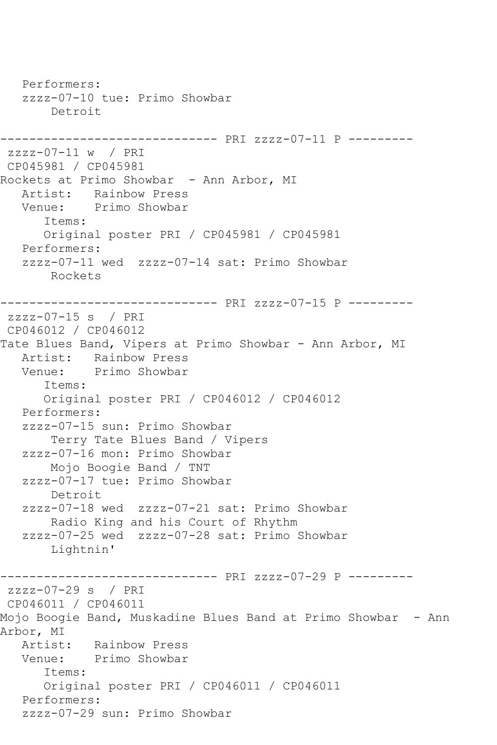Performers: zzzz-07-10 tue: Primo Showbar Detroit ------------------------------ PRI zzzz-07-11 P -------- zzzz-07-11 w / PRI CP045981 / CP045981 Rockets at Primo Showbar - Ann Arbor, MI Artist: Rainbow Press<br>Venue: Primo Showbar Primo Showbar Items: Original poster PRI / CP045981 / CP045981 Performers: zzzz-07-11 wed zzzz-07-14 sat: Primo Showbar Rockets ------------------------------ PRI zzzz-07-15 P -------- zzzz-07-15 s / PRI CP046012 / CP046012 Tate Blues Band, Vipers at Primo Showbar - Ann Arbor, MI Artist: Rainbow Press Venue: Primo Showbar Items: Original poster PRI / CP046012 / CP046012 Performers: zzzz-07-15 sun: Primo Showbar Terry Tate Blues Band / Vipers zzzz-07-16 mon: Primo Showbar Mojo Boogie Band / TNT zzzz-07-17 tue: Primo Showbar Detroit zzzz-07-18 wed zzzz-07-21 sat: Primo Showbar Radio King and his Court of Rhythm zzzz-07-25 wed zzzz-07-28 sat: Primo Showbar Lightnin' ------------------------------ PRI zzzz-07-29 P -------- zzzz-07-29 s / PRI CP046011 / CP046011 Mojo Boogie Band, Muskadine Blues Band at Primo Showbar - Ann Arbor, MI Artist: Rainbow Press Venue: Primo Showbar Items: Original poster PRI / CP046011 / CP046011 Performers: zzzz-07-29 sun: Primo Showbar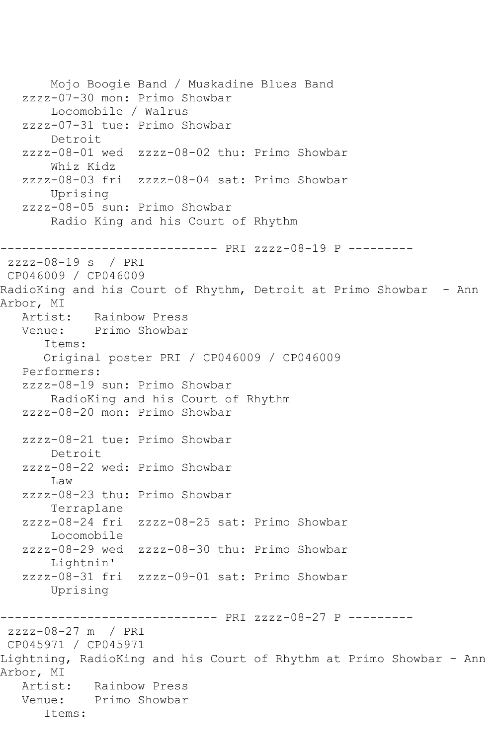Mojo Boogie Band / Muskadine Blues Band zzzz-07-30 mon: Primo Showbar Locomobile / Walrus zzzz-07-31 tue: Primo Showbar Detroit zzzz-08-01 wed zzzz-08-02 thu: Primo Showbar Whiz Kidz zzzz-08-03 fri zzzz-08-04 sat: Primo Showbar Uprising zzzz-08-05 sun: Primo Showbar Radio King and his Court of Rhythm ------------------------------ PRI zzzz-08-19 P -------- zzzz-08-19 s / PRI CP046009 / CP046009 RadioKing and his Court of Rhythm, Detroit at Primo Showbar - Ann Arbor, MI Artist: Rainbow Press<br>Venue: Primo Showbar Primo Showbar Items: Original poster PRI / CP046009 / CP046009 Performers: zzzz-08-19 sun: Primo Showbar RadioKing and his Court of Rhythm zzzz-08-20 mon: Primo Showbar zzzz-08-21 tue: Primo Showbar Detroit zzzz-08-22 wed: Primo Showbar Law zzzz-08-23 thu: Primo Showbar Terraplane zzzz-08-24 fri zzzz-08-25 sat: Primo Showbar Locomobile zzzz-08-29 wed zzzz-08-30 thu: Primo Showbar Lightnin' zzzz-08-31 fri zzzz-09-01 sat: Primo Showbar Uprising ------------------------------ PRI zzzz-08-27 P -------- zzzz-08-27 m / PRI CP045971 / CP045971 Lightning, RadioKing and his Court of Rhythm at Primo Showbar - Ann Arbor, MI Artist: Rainbow Press Venue: Primo Showbar Items: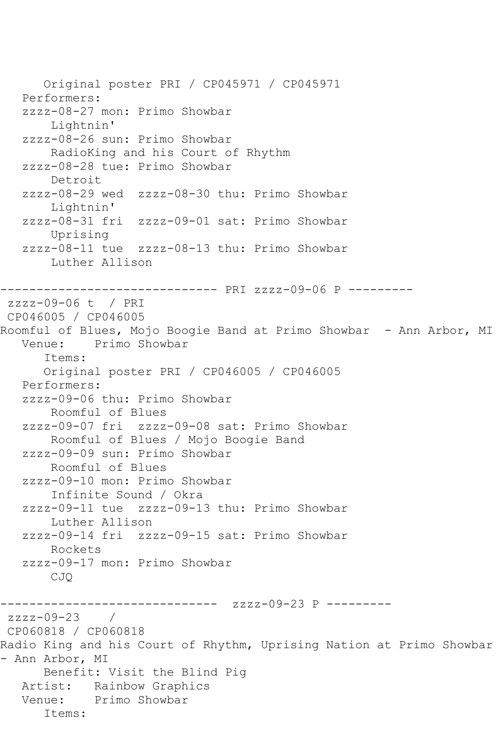Original poster PRI / CP045971 / CP045971 Performers: zzzz-08-27 mon: Primo Showbar Lightnin' zzzz-08-26 sun: Primo Showbar RadioKing and his Court of Rhythm zzzz-08-28 tue: Primo Showbar Detroit zzzz-08-29 wed zzzz-08-30 thu: Primo Showbar Lightnin' zzzz-08-31 fri zzzz-09-01 sat: Primo Showbar Uprising zzzz-08-11 tue zzzz-08-13 thu: Primo Showbar Luther Allison ------------------------------ PRI zzzz-09-06 P -------- zzzz-09-06 t / PRI CP046005 / CP046005 Roomful of Blues, Mojo Boogie Band at Primo Showbar - Ann Arbor, MI<br>Venue: Primo Showbar Primo Showbar Items: Original poster PRI / CP046005 / CP046005 Performers: zzzz-09-06 thu: Primo Showbar Roomful of Blues zzzz-09-07 fri zzzz-09-08 sat: Primo Showbar Roomful of Blues / Mojo Boogie Band zzzz-09-09 sun: Primo Showbar Roomful of Blues zzzz-09-10 mon: Primo Showbar Infinite Sound / Okra zzzz-09-11 tue zzzz-09-13 thu: Primo Showbar Luther Allison zzzz-09-14 fri zzzz-09-15 sat: Primo Showbar Rockets zzzz-09-17 mon: Primo Showbar CJQ ------------------------------ zzzz-09-23 P --------  $zzzz-09-23$ CP060818 / CP060818 Radio King and his Court of Rhythm, Uprising Nation at Primo Showbar - Ann Arbor, MI Benefit: Visit the Blind Pig Artist: Rainbow Graphics Venue: Primo Showbar Items: